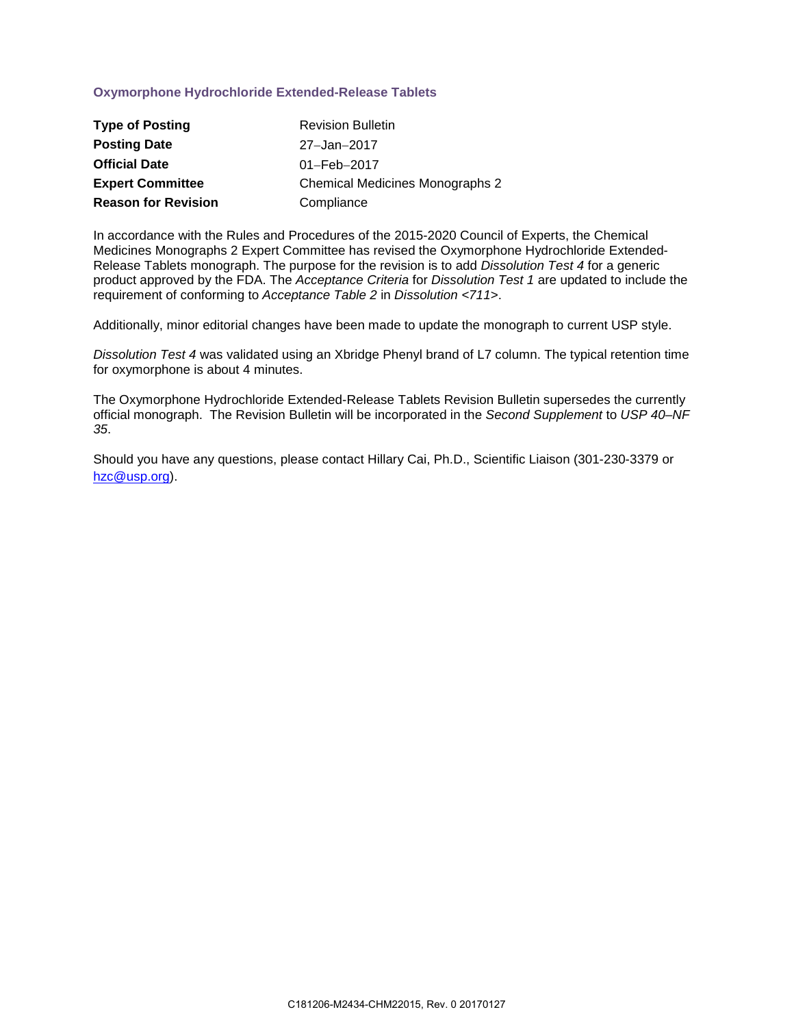## **Oxymorphone Hydrochloride Extended-Release Tablets**

| <b>Type of Posting</b>     | <b>Revision Bulletin</b>               |
|----------------------------|----------------------------------------|
| <b>Posting Date</b>        | 27-Jan-2017                            |
| <b>Official Date</b>       | $01 - \text{Feb} - 2017$               |
| <b>Expert Committee</b>    | <b>Chemical Medicines Monographs 2</b> |
| <b>Reason for Revision</b> | Compliance                             |

In accordance with the Rules and Procedures of the 2015-2020 Council of Experts, the Chemical Medicines Monographs 2 Expert Committee has revised the Oxymorphone Hydrochloride Extended-Release Tablets monograph. The purpose for the revision is to add *Dissolution Test 4* for a generic product approved by the FDA. The *Acceptance Criteria* for *Dissolution Test 1* are updated to include the requirement of conforming to *Acceptance Table 2* in *Dissolution <711>*.

Additionally, minor editorial changes have been made to update the monograph to current USP style.

*Dissolution Test 4* was validated using an Xbridge Phenyl brand of L7 column. The typical retention time for oxymorphone is about 4 minutes.

The Oxymorphone Hydrochloride Extended-Release Tablets Revision Bulletin supersedes the currently official monograph. The Revision Bulletin will be incorporated in the *Second Supplement* to *USP 40–NF 35*.

Should you have any questions, please contact Hillary Cai, Ph.D., Scientific Liaison (301-230-3379 or [hzc@usp.org\)](mailto:hzc@usp.org).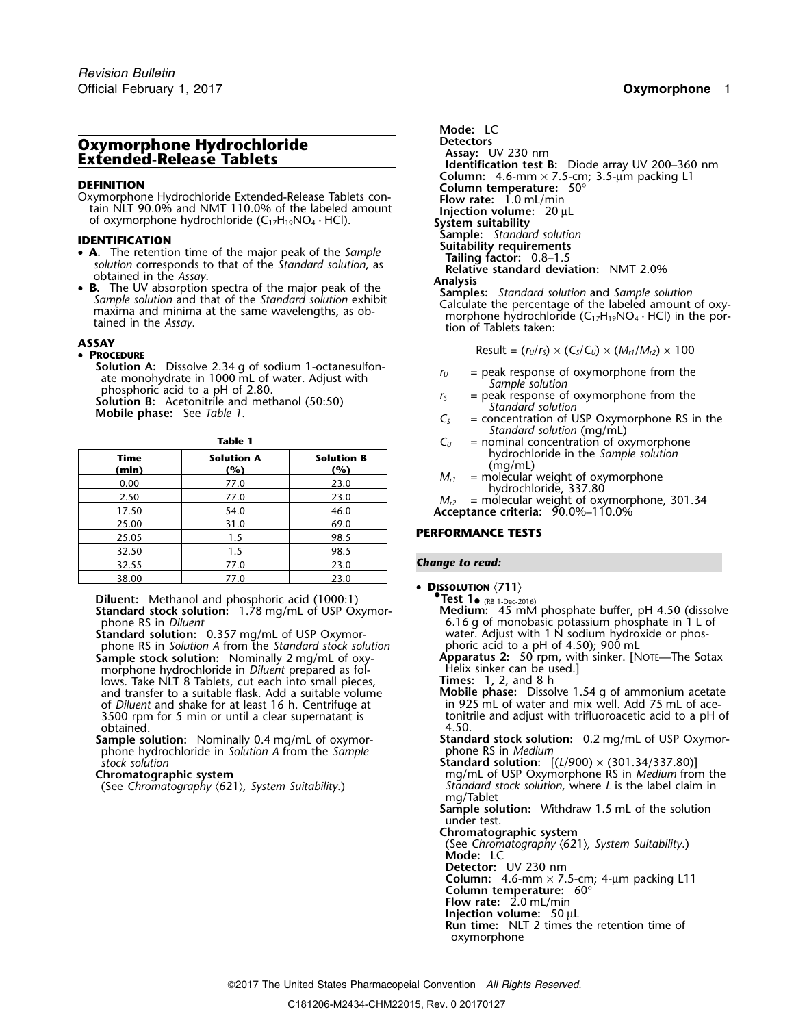# **Oxymorphone Hydrochloride Detectors**<br> **Detectors Assay:** UV 230 nm<br> **Extended-Release Tablets Detection that Extended**

**DEFINITION**<br>
Oxymorphone Hydrochloride Extended-Release Tablets con-<br>
tain NLT 90.0% and NMT 110.0% of the labeled amount<br>
of oxymorphone hydrochloride (C<sub>17</sub>H<sub>19</sub>NO<sub>4</sub> · HCl).<br>
The system suitability<br>
System suitability

- **STATION STATION**<br> **SA** The retention time of the major peak of the Sample<br>
solution corresponds to that of the Standard solution as **Initially Tailing factor:** 0.8–1.5
- 

### **PROCEDURE**

**Solution A:** Dissolve 2.34 g of sodium 1-octanesulfon-<br>
ate monohydrate in 1000 mL of water. Adjust with<br>
phosphoric acid to a pH of 2.80.<br> **Solution B:** Acetonitrile and methanol (50:50)<br> **Solution B:** Acetonitrile and

| ۰, |  |
|----|--|
|----|--|

| hydrochloride in the Sample solution<br>(mq/mL)                        | <b>Solution B</b><br>(%) | <b>Solution A</b><br>(%) | Time<br>(min) |
|------------------------------------------------------------------------|--------------------------|--------------------------|---------------|
| = molecular weight of oxymorphone<br>$M_{r1}$<br>hydrochloride, 337.80 | 23.0                     | 77.0                     | 0.00          |
| $M_{r2}$ = molecular weight of oxymorphone, 301.34                     | 23.0                     | 77.0                     | 2.50          |
| Acceptance criteria: 90.0%-110.0%                                      | 46.0                     | 54.0                     | 17.50         |
|                                                                        | 69.0                     | 31.0                     | 25.00         |
| <b>PERFORMANCE TESTS</b>                                               | 98.5                     | 1.5                      | 25.05         |
|                                                                        | 98.5                     | 1.5                      | 32.50         |
| <b>Change to read:</b>                                                 | 23.0                     | 77.0                     | 32.55         |
| $\overline{N}$                                                         | 23.0                     | 77.0                     | 38.00         |

**Diluent:** Methanol and phosphoric acid (1000:1) **•. Test 1•** (RB 1-Dec-2016) *i***ndard stock solution:** 1.78 mg/mL of USP Oxymor- **Medium:** 45 mM phosphate buffer, pH 4.50 (dissolve **Standard stock solution:** 1.78 mg/mL of USP Oxymorphone RS in *Diluent* 

**Standard solution:** 0.357 mg/mL of USP Oxymor-<br>phone RS in Solution A from the Standard stock solution phoric acid to a pH of 4.50); 900 mL phone RS in *Solution A* from the *Standard stock solution*<br>**Sample stock solution:** Nominally 2 mg/mL of 0xymorphone hydrochloride in *Diluent* prepared as fol-<br>lows. Take NLT 8 Tablets, cut each into small pieces. **Times:** 1, 2, and 8 h lows. Take NLT 8 Tablets, cut each into small pieces, **Times:** 1, 2, and 8 h and transfer to a suitable flask. Add a suitable volume **Mobile phase:** Dissolve 1.54 g of ammonium acetate 3500 rpm for 5 min or until a clear supernatant is tonit obtained. 4.50. obtained. 4.50.

phone hydrochloride in *Solution A* from the *Sample* stock solution

**Mode:** LC **Assay:** UV 200–360 nm<br> **Column:** 4.6-mm × 7.5-cm; 3.5-µm packing L1 of oxymorphone hydrochloride (C<sub>17</sub>H<sub>19</sub>NO<sub>4</sub> · HCl). **System suitability**<br>**ENTIEICATION** Sample: Standard solution solution corresponds to that of the *Standard solution*, as<br>
obtained in the *Assay*.<br> **B.** The UV absorption spectra of the major peak of the **Analysis**<br> **Analysis** Samples: Standard solution and Sample solution<br> **E.** Th

Sample solution and that of the Standard solution exhibit<br>maxima and minima at the same wavelengths, as ob-<br>tained in the Assay.<br>tion of Tablets taken:<br>tion of Tablets taken:

**ASSAY**<br> **A PROCEDURE**<br> **A PROCEDURE** 

- 
- 
- *Standard solution* (mg/mL)
- $C_U$  = nominal concentration of oxymorphone<br>hydrochloride in the *Sample solution*
- 

## **PERFORMANCE TESTS**

### **Change to read:**

## •**DISSOLUTION**  $\langle 711 \rangle$ <br> **Test 1** (RB 1-Dec-2016)

6.16 g of monobasic potassium phosphate in 1 L of water. Adjust with 1 N sodium hydroxide or phos-

**Apparatus 2:** 50 rpm, with sinker. [NOTE—The Sotax Helix sinker can be used.]

- of *Diluent* and shake for at least 16 h. Centrifuge at in 925 mL of water and mix well. Add 75 mL of ace-<br>3500 rpm for 5 min or until a clear supernatant is tonitrile and adjust with trifluoroacetic acid to a pH of
- **Sample solution:** Nominally 0.4 mg/mL of oxymor- **Standard stock solution:** 0.2 mg/mL of USP Oxymor-

*stock solution* **Standard solution:** [(*L*/900) × (301.34/337.80)] **Chromatographic system**<br>(See Chromatography (621), System Suitability.) Summatography (621), System Suitability. Standard stock solution, where *L* is the label claim in mg/Tablet

**Sample solution:** Withdraw 1.5 mL of the solution under test.

**Chromatographic system**

(See *Chromatography* 〈621〉*, System Suitability*.) **Mode:** LC

**Detector:** UV 230 nm

**Column:** 4.6-mm  $\times$  7.5-cm; 4-µm packing L11

**Column temperature:** 60° **Flow rate:** 2.0 mL/min

**Injection volume:** 50 µL

**Run time:** NLT 2 times the retention time of

oxymorphone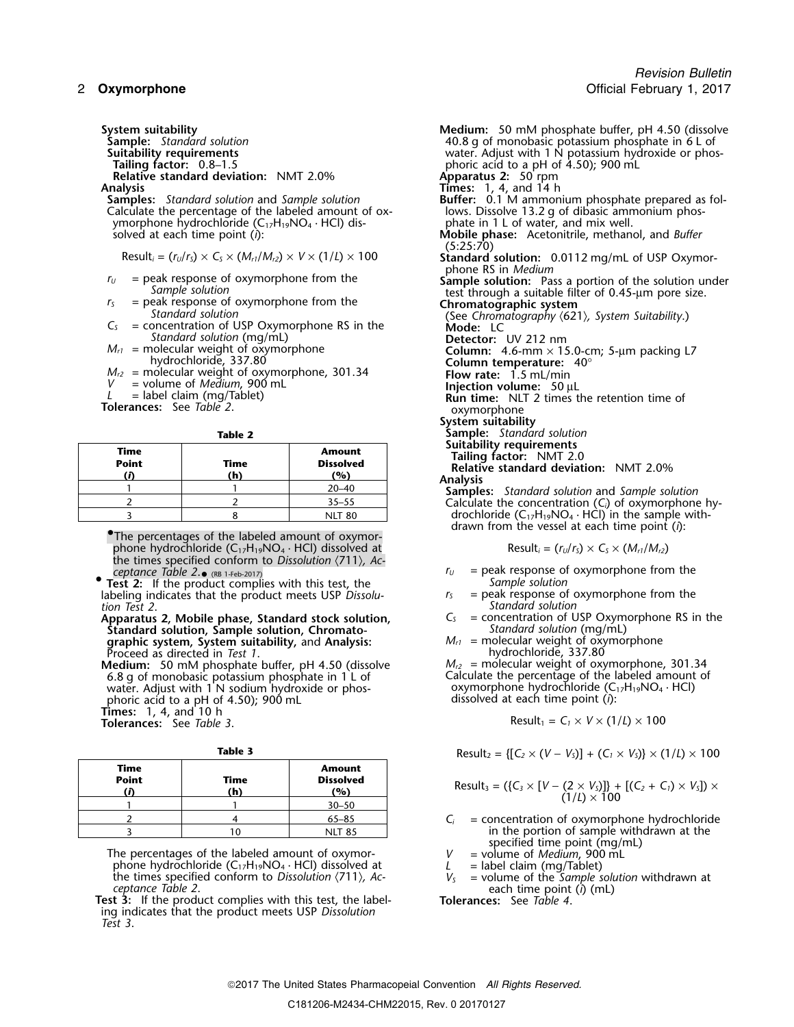**Relative standard deviation:** NMT 2.0%<br>**Analysis** 

**Analysis Times:** 1, 4, and 14 h Calculate the percentage of the labeled amount of ox-<br>
ymorphone hydrochloride (C<sub>17</sub>H<sub>19</sub>NO<sub>4</sub> · HCl) dis-<br>
phate in 1 L of water, and mix well. ymorphone hydrochloride (C<sub>17</sub>H<sub>19</sub>NO<sub>4</sub> · HCl) dis-<br>solved at each time point (i):

- 
- 
- *Standard solution* (mg/mL) **Detector:** UV 212 nm
	-
- 
- 
- 

**Tolerances:** See *Table 2*. **b** a construction of *Securement* Securities in the system of  $\alpha$ 

| Time<br><b>Point</b> | Time<br>(h) | <b>Amount</b><br><b>Dissolved</b><br>(%) | Suitability requirements<br>Tailing factor: NMT 2.0<br>Relative standard deviation: NMT 2.0%<br><b>Analysis</b> |
|----------------------|-------------|------------------------------------------|-----------------------------------------------------------------------------------------------------------------|
|                      |             | $20 - 40$                                | <b>Samples:</b> Standard solution and Sample solution                                                           |
|                      |             | $35 - 55$                                | Calculate the concentration $(C_i)$ of oxymorphone h                                                            |
|                      |             | <b>NLT 80</b>                            | drochloride $(C_{17}H_{19}NO_4 \cdot HCl)$ in the sample with-                                                  |

**•The percentages of the labeled amount of oxymor**phone hydrochloride  $(C_{17}H_{19}NO_4 \cdot HCl)$  dissolved at Result<sub>*i*</sub> =  $(r_U/r_S) \times C_S \times (M_{r1}/M_{r2})$ the times specified conform to *Dissolution* 〈711〉*, Ac*ceptance Table  $2.\bullet$  (RB 1-Feb-2017)

**•. Test 2:** If the product complies with this test, the *Sample solution* labeling indicates that the product meets USP *Dissolu- r<sub>S</sub>* = peak response of oxymorphone from the *tion Test 2*.

Apparatus 2, Mobile phase, Standard stock solution,  $C_s$  = concentration of USP Oxymorphone Standard solution. Standard solution. Standard solution. Standard solution. **Standard solution, Sample solution, Chromato-** *Standard solution* (mg/mL)<br> **araphic system, System suitability,** and Analysis: *M<sub>r1</sub>* = molecular weight of oxymorphone **graphic system, System suitability,** and **Analysis:** *M*<sub>*r1*</sub> = molecular weight of oxy<br>Proceed as directed in *Test 1*. *Analysis: M*<sub>*r1*</sub> = molecular weight of oxymorphone in *Test 1*. Proceed as directed in *Test 1*.<br>**Medium:** 50 mM phosphate buffer, pH 4.50 (dissolve  $M_{r2}$  = molecular weight of oxymorphone, 301.34

Medium: 50 mM phosphate buffer, pH 4.50 (dissolve 6.8 g of monobasic potassium phosphate in 1 L of Calculate the percentage of the I<br>water. Adjust with 1 N sodium hydroxide or phos-<br>phoric acid to a pH of 4.50); 900 mL<br>dissolved at each time point (i): phoric acid to a pH of 4.50); 900 mL Times: 1, 4, and 10 h<br>Tolerances: See Table 3.

|                      |             |                                          | $\mathcal{L}$                                                                                                        |
|----------------------|-------------|------------------------------------------|----------------------------------------------------------------------------------------------------------------------|
| Time<br><b>Point</b> | Time<br>(h) | <b>Amount</b><br><b>Dissolved</b><br>(9) | Result <sub>3</sub> = ({ $C_3 \times [V - (2 \times V_5)]$ } + [ $(C_2 + C_1) \times V_5$ ]) ×<br>$(1/L) \times 100$ |
|                      |             | $30 - 50$                                |                                                                                                                      |
|                      |             | 65–85                                    | $=$ concentration of oxymorphone hydrochloride                                                                       |
|                      | 10          | <b>NIT 85</b>                            | in the portion of sample withdrawn at the                                                                            |

The percentages of the labeled amount of oxymor-<br>phone hydrochloride  $(C_{17}H_{19}NO_4 \cdot HC)$  dissolved at  $L =$  label claim (mg/Tablet) phone hydrochloride  $(C_1, H_1, N, O_4 \cdot H)$  dissolved at  $D$  is a label claim (mg/Tablet)<br>the times specified conform to *Dissolution*  $\langle 711 \rangle$ , *Ac*  $V_5$  = volume of the *Sample solution* withdrawn at *ceptance Table 2*.

**Test 3:** If the product complies with this test, the label- **Tolerances:** See *Table 4*. ing indicates that the product meets USP *Dissolution Test 3*.

**System suitability Medium:** 50 mM phosphate buffer, pH 4.50 (dissolve **Sample:** Standard solution **6 L of the Constantine 10.8** g of monobasic potassium phosphate in 6 L of **Suitability requirements**<br> **Suitability requirements**<br> **Tailing factor:** 0.8–1.5<br> **Suitability requirements**<br> **Suitability requirements**<br> **Suitability requirements** phoric acid to a pH of 4.50); 900 mL<br>**Apparatus 2:** 50 rpm **Buffer:**  $\dot{0}$ .1 M ammonium phosphate prepared as follows. Dissolve 13.2 q of dibasic ammonium phos-**Mobile phase:** Acetonitrile, methanol, and *Buffer* (5:25:70) Result<sub>i</sub> =  $(r_U/r_S) \times C_S \times (M_{rI}/M_{r2}) \times V \times (1/L) \times 100$  **Standard solution:** 0.0112 mg/mL of USP Oxymorphone RS in *Medium r*<sub>*U*</sub> = peak response of oxymorphone from the **Sample solution:** Pass a portion of the solution under *Sample solution*<br> *r*<sub>5</sub> = peak response of oxymorphone from the **Chromatographic system Chromatographic system** Standard solution<br>  $C_5$  = concentration of USP Oxymorphone RS in the<br> **Mode:** LC<br>
Mode: LC  $M_{r1}$  = molecular weight of oxymorphone<br>
hydrochloride, 337.80<br>  $M_{r2}$  = molecular weight of oxymorphone, 301.34<br>  $V$  = volume of *Medium*, 900 mL<br>  $L$  = label claim (mg/Tablet)<br>  $M_{r2}$  = wolume of *Medium*, 900 mL<br> **Run time:** NLT 2 times the retention time of **System suitability Table 2 Sample:** *Standard solution* **Time**<br> **Example 3**<br> **Point<br>
Time**<br> **Example 3**<br> **Contains 1 20–40**<br> **Examples:** Standard solution and Sample solution<br> **Example 30**<br> **Examples:** Standard solution and Sample solution <sup>2</sup> <sup>2</sup> 35–55 Calculate the concentration (*Ci*) of oxymorphone hy-

 $r_U$  = peak response of oxymorphone from the *Sample solution* 

drawn from the vessel at each time point (*i*): •

- 
- *tandard solution*<br>
= concentration of USP Oxymorphone RS in the
- 

Calculate the percentage of the labeled amount of oxymorphone hydrochloride  $(C_{17}H_{19}NO_4 \cdot HC)$ 

 $Result_1 = C_1 \times V \times (1/L) \times 100$ 

**Table 3** 
$$
Result_2 = \{ [C_2 \times (V - V_5)] + (C_1 \times V_5) \} \times (1/L) \times 100
$$

Result<sub>3</sub> = (
$$
{C_3 \times [V - (2 \times V_3)]}
$$
 + [( $C_2 + C_1$ ) ×  $V_5$ ]) × (1/ $L$ ) × 100

 $C_i$  = concentration of oxymorphone hydrochloride in the portion of sample withdrawn at the specified time point  $(mg/mL)$ 

- 
-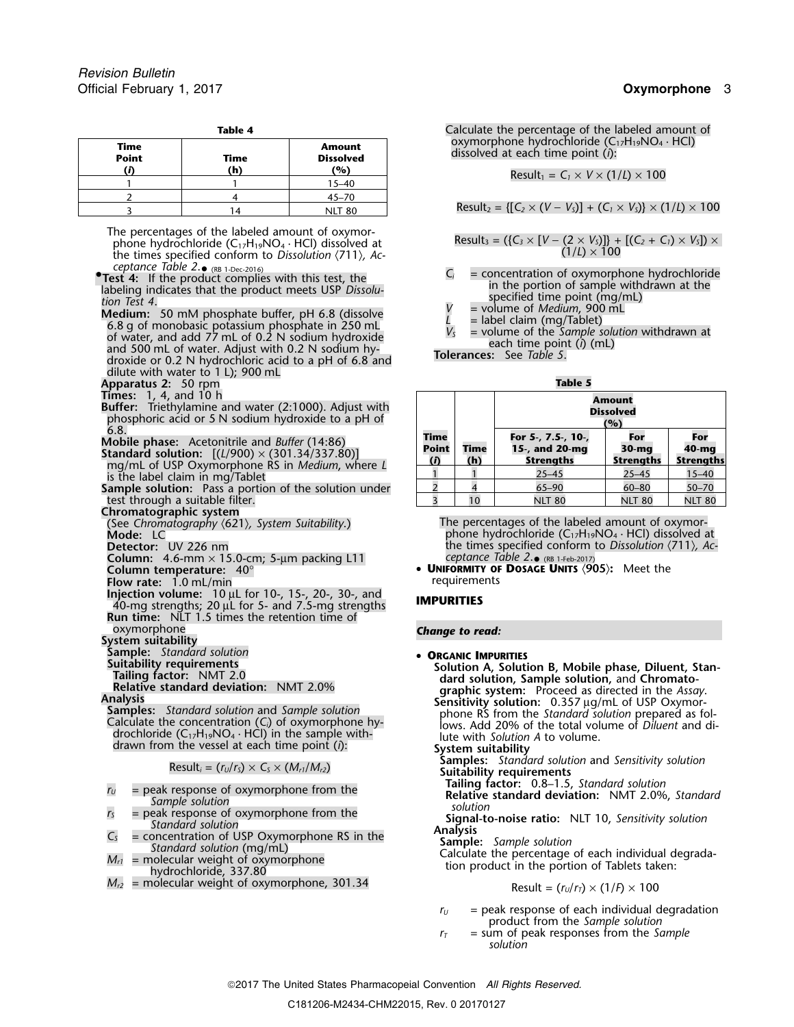| Time<br><b>Point</b> | Time<br>(h) | <b>Amount</b><br><b>Dissolved</b><br>(%) |  |  |  |  |
|----------------------|-------------|------------------------------------------|--|--|--|--|
|                      |             | $15 - 40$                                |  |  |  |  |
|                      |             | $45 - 70$                                |  |  |  |  |
|                      | 14          | <b>NLT 80</b>                            |  |  |  |  |

The percentages of the labeled amount of oxymorphone hydrochloride  $(C_{17}H_{19}NO_4 \cdot HCl)$  dissolved at the times specified conform to *Dissolution*  $\langle 711 \rangle$ , *Acceptance Table 2*. • (RB 1-Dec-2016)

**• Test 4:** If the product complies with this test, the

**Test 4.**<br> **Test 4.**<br> **Test 4.**<br> **Test 4.**<br> **Test 4.**<br> **Test 4.**<br> **Test 4.**<br> **Test 4.**<br> **Test 1.**<br> **Test 4.**<br> **Test 4.**<br> **Test 4.**<br> **Test 4.**<br> **Test 4.**<br> **Test 4.**<br> **Test 4.**<br> **Test 4.**<br> **E** label claim (mg/Tablet) **Medium:** 50 mM phosphate buffer, pH 6.8 (dissolve<br>
6.8 g of monobasic potassium phosphate in 250 mL<br>
of water, and add 77 mL of 0.2 N sodium hydroxide<br>
and 500 mL of water. Adjust with 0.2 N sodium hy-<br>
droxide or 0.2 N dilute with water to 1 L); 900 mL

**Apparatus 2:** 50 rpm **Table 5**

**Times:** 1, 4, and 10 h<br>**Buffer:** Triethylamine and water (2:1000). Adjust with phosphoric acid or 5 N sodium hydroxide to a pH of

**Mobile phase:** Acetonitrile and *Buffer* (14:86)<br>**Standard solution:**  $[(L/900) \times (301.34/337.80)]$ <br>mg/mL of USP Oxymorphone RS in *Medium*, where L is the label claim in mg/Tablet

**Sample solution:** Pass a portion of the solution under test through a suitable filter.

**Chromatographic system**

**Column:** 4.6-mm × 15.0-cm; 5-µm packing L11 *ceptance Table 2*.

**Flow rate:** 1.0 mL/min

**Injection volume:**<sup>10</sup> <sup>µ</sup>L for 10-, 15-, 20-, 30-, and **IMPURITIES** 40-mg strengths; 20 <sup>µ</sup>L for 5- and 7.5-mg strengths **Run time:** NLT 1.5 times the retention time of

oxymorphone *Change to read:* **System suitability**

**Sample:** *Standard solution*<br>**Suitability requirements** 

- 
- 
- 
- 
- $M_{r2}$  = molecular weight of oxymorphone, 301.34

**Table 4 Calculate the percentage of the labeled amount of**  $\blacksquare$ oxymorphone hydrochloride (C<sub>17</sub>H<sub>19</sub>NO<sub>4</sub> · HCl) **dissolved** at each time point (*i*):

 $\text{Result}_1 = C_1 \times V \times (1/L) \times 100$ 

<sup>3</sup> <sup>14</sup> NLT 80 Result<sup>2</sup> = {[*C<sup>2</sup>* <sup>×</sup> (*<sup>V</sup>* <sup>−</sup> *<sup>V</sup>S*)] + (*C<sup>1</sup>* <sup>×</sup> *<sup>V</sup>S*)} × (1/*L*) × 100

Result<sub>3</sub> = (
$$
\{C_3 \times [V - (2 \times V_3)]\} + [(C_2 + C_1) \times V_5]) \times (1/L) \times 100
$$

 $C_i$  = concentration of oxymorphone hydrochloride in the portion of sample withdrawn at the

- 
- 
- 

|                                         |             | Amount<br><b>Dissolved</b><br>(%)                                                                                                  |               |               |  |  |  |
|-----------------------------------------|-------------|------------------------------------------------------------------------------------------------------------------------------------|---------------|---------------|--|--|--|
| <b>Time</b><br><b>Point</b><br>$\bf{r}$ | Time<br>(h) | For 5-, 7.5-, 10-,<br>For<br>For<br>15-, and 20-mg<br>40-mg<br>$30-mq$<br><b>Strengths</b><br><b>Strengths</b><br><b>Strengths</b> |               |               |  |  |  |
|                                         |             | $25 - 45$                                                                                                                          | $25 - 45$     | $15 - 40$     |  |  |  |
|                                         |             | $65 - 90$                                                                                                                          | $60 - 80$     | $50 - 70$     |  |  |  |
|                                         | 10          | <b>NLT 80</b>                                                                                                                      | <b>NLT 80</b> | <b>NLT 80</b> |  |  |  |

(See *Chromatography* 〈621〉*, System Suitability*.) The percentages of the labeled amount of oxymor-Mode: LC **Mode:** LC **Mode:** LC **phone** hydrochloride (C<sub>17</sub>H<sub>19</sub>NO<sub>4</sub> · HCl) dissolved at **Detector:** UV 226 nm the times specified conform to *Dissolution* 〈711〉*, Ac-*• (RB 1-Feb-2017)

**Column temperature:** 40° • **<sup>U</sup>NIFORMITY OF DOSAGE UNITS** 〈**905**〉**:** Meet the

Sumple: Standard Solution<br>
Tailing factor: NMT 2.0<br>
Tailing factor: NMT 2.0<br>
Relative standard deviation: NMT 2.0%<br>
Relative standard deviation: NMT 2.0%<br>
Relative standard deviation: NMT 2.0%<br>
Relative standard deviation

**Samples:** *Standard solution* and *Sensitivity solution*<br>**Samples:** *Standard solution* and *Sensitivity solution*<br>**Tailing factor:** 0.8–1.5, *Standard solution* 

 $M_{r1}$  = peak response of oxymorphone from the<br>
sample solution<br>  $M_{r2}$  = peak response of oxymorphone from the<br>
standard solution<br>  $M_{r2}$  = concentration of USP Oxymorphone RS in the<br>
Madysis<br>  $M_{r1}$  = molecular weig

$$
Result = (r_U/r_T) \times (1/F) \times 100
$$

- $r_U$  = peak response of each individual degradation product from the *Sample solution*
- $r<sub>T</sub>$  = sum of peak responses from the *Sample solution*